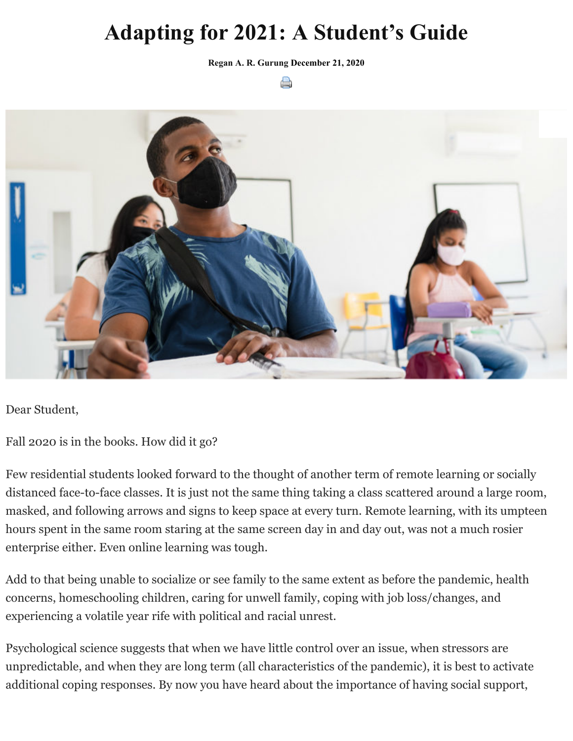## **Adapting for 2021: A Student's Guide**

**[Regan A. R. Gurung](https://www.teachingprofessor.com/author/tp-gurung/) December 21, 2020**

A



Dear Student,

Fall 2020 is in the books. How did it go?

Few residential students looked forward to the thought of another term of remote learning or socially distanced face-to-face classes. It is just not the same thing taking a class scattered around a large room, masked, and following arrows and signs to keep space at every turn. Remote learning, with its umpteen hours spent in the same room staring at the same screen day in and day out, was not a much rosier enterprise either. Even online learning was tough.

Add to that being unable to socialize or see family to the same extent as before the pandemic, health concerns, homeschooling children, caring for unwell family, coping with job loss/changes, and experiencing a volatile year rife with political and racial unrest.

Psychological science suggests that when we have little control over an issue, when stressors are unpredictable, and when they are long term (all characteristics of the pandemic), it is best to activate additional coping responses. By now you have heard about the importance of having social support,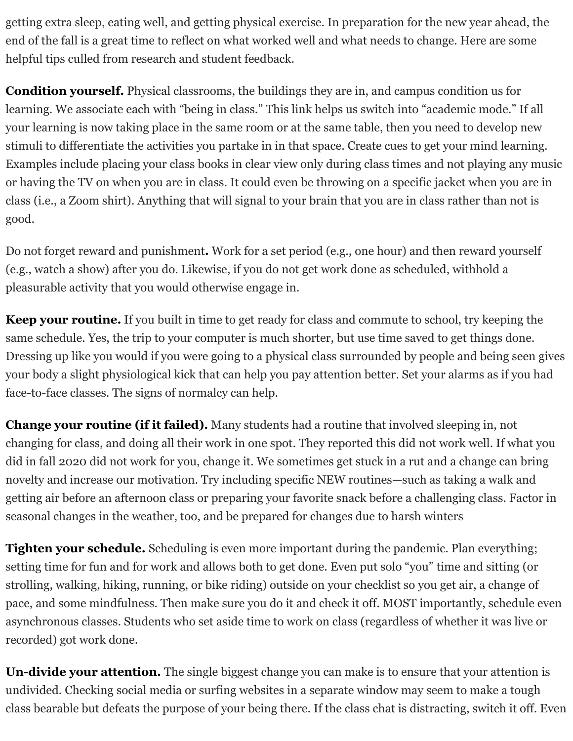getting extra sleep, eating well, and getting physical exercise. In preparation for the new year ahead, the end of the fall is a great time to reflect on what worked well and what needs to change. Here are some helpful tips culled from research and student feedback.

**Condition yourself.** Physical classrooms, the buildings they are in, and campus condition us for learning. We associate each with "being in class." This link helps us switch into "academic mode." If all your learning is now taking place in the same room or at the same table, then you need to develop new stimuli to differentiate the activities you partake in in that space. Create cues to get your mind learning. Examples include placing your class books in clear view only during class times and not playing any music or having the TV on when you are in class. It could even be throwing on a specific jacket when you are in class (i.e., a Zoom shirt). Anything that will signal to your brain that you are in class rather than not is good.

Do not forget reward and punishment**.** Work for a set period (e.g., one hour) and then reward yourself (e.g., watch a show) after you do. Likewise, if you do not get work done as scheduled, withhold a pleasurable activity that you would otherwise engage in.

**Keep your routine.** If you built in time to get ready for class and commute to school, try keeping the same schedule. Yes, the trip to your computer is much shorter, but use time saved to get things done. Dressing up like you would if you were going to a physical class surrounded by people and being seen gives your body a slight physiological kick that can help you pay attention better. Set your alarms as if you had face-to-face classes. The signs of normalcy can help.

**Change your routine (if it failed).** Many students had a routine that involved sleeping in, not changing for class, and doing all their work in one spot. They reported this did not work well. If what you did in fall 2020 did not work for you, change it. We sometimes get stuck in a rut and a change can bring novelty and increase our motivation. Try including specific NEW routines—such as taking a walk and getting air before an afternoon class or preparing your favorite snack before a challenging class. Factor in seasonal changes in the weather, too, and be prepared for changes due to harsh winters

**Tighten your schedule.** Scheduling is even more important during the pandemic. Plan everything; setting time for fun and for work and allows both to get done. Even put solo "you" time and sitting (or strolling, walking, hiking, running, or bike riding) outside on your checklist so you get air, a change of pace, and some mindfulness. Then make sure you do it and check it off. MOST importantly, schedule even asynchronous classes. Students who set aside time to work on class (regardless of whether it was live or recorded) got work done.

**Un-divide your attention.** The single biggest change you can make is to ensure that your attention is undivided. Checking social media or surfing websites in a separate window may seem to make a tough class bearable but defeats the purpose of your being there. If the class chat is distracting, switch it off. Even